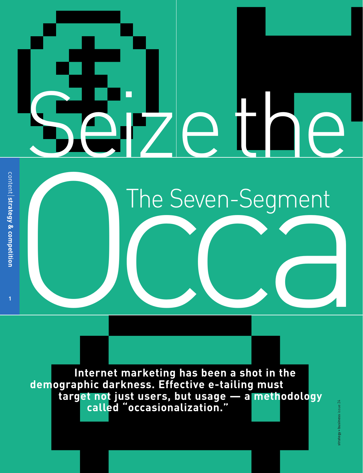# Seize the

**1**

The Seven-Segment The Seven-Segment

**Internet marketing has been a shot in the demographic darkness. Effective e-tailing must target not just users, but usage — a methodology called "occasionalization."**

strategy + business issue 24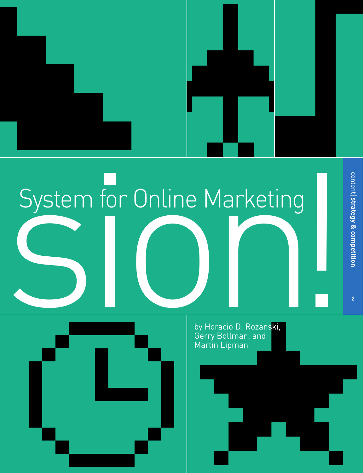

# System for Online Marketing System for Online Marketing



by Horacio D. Rozanski, Gerry Bollman, and Martin Lipman

**2**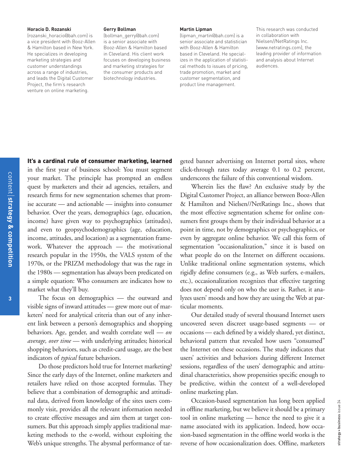### **Horacio D. Rozanski**

(rozanski\_horacio@bah.com) is a vice president with Booz-Allen & Hamilton based in New York. He specializes in developing marketing strategies and customer understandings across a range of industries, and leads the Digital Customer Project, the firm's research venture on online marketing.

### **Gerry Bollman**

(bollman\_gerry@bah.com) is a senior associate with Booz-Allen & Hamilton based in Cleveland. His client work focuses on developing business and marketing strategies for the consumer products and biotechnology industries.

### **Martin Lipman**

(lipman\_martin@bah.com) is a senior associate and statistician with Booz-Allen & Hamilton based in Cleveland. He specializes in the application of statistical methods to issues of pricing, trade promotion, market and customer segmentation, and product line management.

This research was conducted in collaboration with Nielsen//NetRatings Inc. (www.netratings.com), the leading provider of information and analysis about Internet audiences.

### It's a cardinal rule of consumer marketing, learned

in the first year of business school: You must segment your market. The principle has prompted an endless quest by marketers and their ad agencies, retailers, and research firms for new segmentation schemes that promise accurate — and actionable — insights into consumer behavior. Over the years, demographics (age, education, income) have given way to psychographics (attitudes), and even to geopsychodemographics (age, education, income, attitudes, and location) as a segmentation framework. Whatever the approach — the motivational research popular in the 1950s, the VALS system of the 1970s, or the PRIZM methodology that was the rage in the 1980s — segmentation has always been predicated on a simple equation: Who consumers are indicates how to market what they'll buy.

The focus on demographics — the outward and visible signs of inward attitudes — grew more out of marketers' need for analytical criteria than out of any inherent link between a person's demographics and shopping behaviors. Age, gender, and wealth correlate well — *on average, over time* — with underlying attitudes; historical shopping behaviors, such as credit-card usage, are the best indicators of *typical* future behaviors.

Do those predictors hold true for Internet marketing? Since the early days of the Internet, online marketers and retailers have relied on those accepted formulas. They believe that a combination of demographic and attitudinal data, derived from knowledge of the sites users commonly visit, provides all the relevant information needed to create effective messages and aim them at target consumers. But this approach simply applies traditional marketing methods to the e-world, without exploiting the Web's unique strengths. The abysmal performance of targeted banner advertising on Internet portal sites, where click-through rates today average 0.1 to 0.2 percent, underscores the failure of this conventional wisdom.

Wherein lies the flaw? An exclusive study by the Digital Customer Project, an alliance between Booz-Allen & Hamilton and Nielsen//NetRatings Inc., shows that the most effective segmentation scheme for online consumers first groups them by their individual behavior at a point in time, not by demographics or psychographics, or even by aggregate online behavior. We call this form of segmentation "occasionalization," since it is based on what people do on the Internet on different occasions. Unlike traditional online segmentation systems, which rigidly define consumers (e.g., as Web surfers, e-mailers, etc.), occasionalization recognizes that effective targeting does not depend only on who the user is. Rather, it analyzes users' moods and how they are using the Web at particular moments.

Our detailed study of several thousand Internet users uncovered seven discreet usage-based segments — or occasions — each defined by a widely shared, yet distinct, behavioral pattern that revealed how users "consumed" the Internet on these occasions. The study indicates that users' activities and behaviors during different Internet sessions, regardless of the users' demographic and attitudinal characteristics, show propensities specific enough to be predictive, within the context of a well-developed online marketing plan.

Occasion-based segmentation has long been applied in offline marketing, but we believe it should be a primary tool in online marketing — hence the need to give it a name associated with its application. Indeed, how occasion-based segmentation in the offline world works is the reverse of how occasionalization does. Offline, marketers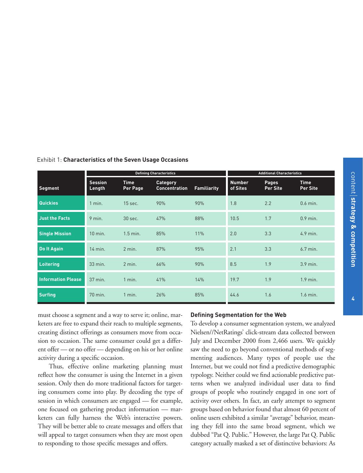**4**

|                           | <b>Defining Characteristics</b> |                         |                                         |                    | <b>Additional Characteristics</b> |                                 |                         |
|---------------------------|---------------------------------|-------------------------|-----------------------------------------|--------------------|-----------------------------------|---------------------------------|-------------------------|
| Segment                   | <b>Session</b><br>Length        | <b>Time</b><br>Per Page | <b>Category</b><br><b>Concentration</b> | <b>Familiarity</b> | <b>Number</b><br>of Sites         | <b>Pages</b><br><b>Per Site</b> | <b>Time</b><br>Per Site |
| Quickies                  | 1 min.                          | 15 sec.                 | 90%                                     | 90%                | 1.8                               | 2.2                             | $0.6$ min.              |
| <b>Just the Facts</b>     | 9 min.                          | 30 sec.                 | 47%                                     | 88%                | 10.5                              | 1.7                             | $0.9$ min.              |
| <b>Single Mission</b>     | $10$ min.                       | $1.5$ min.              | 85%                                     | 11%                | 2.0                               | 3.3                             | 4.9 min.                |
| Do It Again               | 14 min.                         | 2 min.                  | 87%                                     | 95%                | 2.1                               | 3.3                             | 6.7 min.                |
| <b>Loitering</b>          | 33 min.                         | $2$ min.                | 66%                                     | 90%                | 8.5                               | 1.9                             | $3.9$ min.              |
| <b>Information Please</b> | 37 min.                         | $1$ min.                | 41%                                     | 14%                | 19.7                              | 1.9                             | $1.9$ min.              |
| <b>Surfing</b>            | 70 min.                         | $1$ min.                | 26%                                     | 85%                | 44.6                              | 1.6                             | 1.6 min.                |

Exhibit 1: **Characteristics of the Seven Usage Occasions** 

must choose a segment and a way to serve it; online, marketers are free to expand their reach to multiple segments, creating distinct offerings as consumers move from occasion to occasion. The same consumer could get a different offer — or no offer — depending on his or her online activity during a specific occasion.

Thus, effective online marketing planning must reflect how the consumer is using the Internet in a given session. Only then do more traditional factors for targeting consumers come into play. By decoding the type of session in which consumers are engaged — for example, one focused on gathering product information — marketers can fully harness the Web's interactive powers. They will be better able to create messages and offers that will appeal to target consumers when they are most open to responding to those specific messages and offers.

### **Defining Segmentation for the Web**

To develop a consumer segmentation system, we analyzed Nielsen//NetRatings' click-stream data collected between July and December 2000 from 2,466 users. We quickly saw the need to go beyond conventional methods of segmenting audiences. Many types of people use the Internet, but we could not find a predictive demographic typology. Neither could we find actionable predictive patterns when we analyzed individual user data to find groups of people who routinely engaged in one sort of activity over others. In fact, an early attempt to segment groups based on behavior found that almost 60 percent of online users exhibited a similar "average" behavior, meaning they fell into the same broad segment, which we dubbed "Pat Q. Public." However, the large Pat Q. Public category actually masked a set of distinctive behaviors: As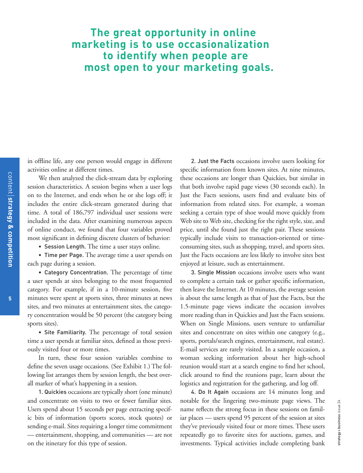## **The great opportunity in online marketing is to use occasionalization to identify when people are most open to your marketing goals.**

in offline life, any one person would engage in different activities online at different times.

We then analyzed the click-stream data by exploring session characteristics. A session begins when a user logs on to the Internet, and ends when he or she logs off; it includes the entire click-stream generated during that time. A total of 186,797 individual user sessions were included in the data. After examining numerous aspects of online conduct, we found that four variables proved most significant in defining discrete clusters of behavior:

• Session Length. The time a user stays online.

• Time per Page. The average time a user spends on each page during a session.

• Category Concentration. The percentage of time a user spends at sites belonging to the most frequented category. For example, if in a 10-minute session, five minutes were spent at sports sites, three minutes at news sites, and two minutes at entertainment sites, the category concentration would be 50 percent (the category being sports sites).

• Site Familiarity. The percentage of total session time a user spends at familiar sites, defined as those previously visited four or more times.

In turn, these four session variables combine to define the seven usage occasions. (See Exhibit 1.) The following list arranges them by session length, the best overall marker of what's happening in a session.

1. Quickies occasions are typically short (one minute) and concentrate on visits to two or fewer familiar sites. Users spend about 15 seconds per page extracting specific bits of information (sports scores, stock quotes) or sending e-mail. Sites requiring a longer time commitment — entertainment, shopping, and communities — are not on the itinerary for this type of session.

2. Just the Facts occasions involve users looking for specific information from known sites. At nine minutes, these occasions are longer than Quickies, but similar in that both involve rapid page views (30 seconds each). In Just the Facts sessions, users find and evaluate bits of information from related sites. For example, a woman seeking a certain type of shoe would move quickly from Web site to Web site, checking for the right style, size, and price, until she found just the right pair. These sessions typically include visits to transaction-oriented or timeconsuming sites, such as shopping, travel, and sports sites. Just the Facts occasions are less likely to involve sites best enjoyed at leisure, such as entertainment.

3. Single Mission occasions involve users who want to complete a certain task or gather specific information, then leave the Internet. At 10 minutes, the average session is about the same length as that of Just the Facts, but the 1.5-minute page views indicate the occasion involves more reading than in Quickies and Just the Facts sessions. When on Single Missions, users venture to unfamiliar sites and concentrate on sites within one category (e.g., sports, portals/search engines, entertainment, real estate). E-mail services are rarely visited. In a sample occasion, a woman seeking information about her high-school reunion would start at a search engine to find her school, click around to find the reunions page, learn about the logistics and registration for the gathering, and log off.

4. Do It Again occasions are 14 minutes long and notable for the lingering two-minute page views. The name reflects the strong focus in these sessions on familiar places — users spend 95 percent of the session at sites they've previously visited four or more times. These users repeatedly go to favorite sites for auctions, games, and investments. Typical activities include completing bank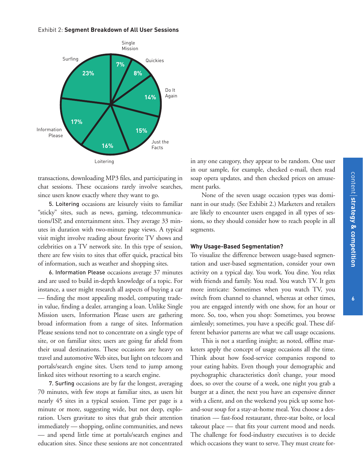### Exhibit 2: **Segment Breakdown of All User Sessions**



transactions, downloading MP3 files, and participating in chat sessions. These occasions rarely involve searches, since users know exactly where they want to go.

5. Loitering occasions are leisurely visits to familiar "sticky" sites, such as news, gaming, telecommunications/ISP, and entertainment sites. They average 33 minutes in duration with two-minute page views. A typical visit might involve reading about favorite TV shows and celebrities on a TV network site. In this type of session, there are few visits to sites that offer quick, practical bits of information, such as weather and shopping sites.

6. Information Please occasions average 37 minutes and are used to build in-depth knowledge of a topic. For instance, a user might research all aspects of buying a car — finding the most appealing model, computing tradein value, finding a dealer, arranging a loan. Unlike Single Mission users, Information Please users are gathering broad information from a range of sites. Information Please sessions tend not to concentrate on a single type of site, or on familiar sites; users are going far afield from their usual destinations. These occasions are heavy on travel and automotive Web sites, but light on telecom and portals/search engine sites. Users tend to jump among linked sites without resorting to a search engine.

7. Surfing occasions are by far the longest, averaging 70 minutes, with few stops at familiar sites, as users hit nearly 45 sites in a typical session. Time per page is a minute or more, suggesting wide, but not deep, exploration. Users gravitate to sites that grab their attention immediately — shopping, online communities, and news — and spend little time at portals/search engines and education sites. Since these sessions are not concentrated

in any one category, they appear to be random. One user in our sample, for example, checked e-mail, then read soap opera updates, and then checked prices on amusement parks.

None of the seven usage occasion types was dominant in our study. (See Exhibit 2.) Marketers and retailers are likely to encounter users engaged in all types of sessions, so they should consider how to reach people in all segments.

### **Why Usage-Based Segmentation?**

To visualize the difference between usage-based segmentation and user-based segmentation, consider your own activity on a typical day. You work. You dine. You relax with friends and family. You read. You watch TV. It gets more intricate: Sometimes when you watch TV, you switch from channel to channel, whereas at other times, you are engaged intently with one show, for an hour or more. So, too, when you shop: Sometimes, you browse aimlessly; sometimes, you have a specific goal. These different behavior patterns are what we call usage occasions.

This is not a startling insight; as noted, offline marketers apply the concept of usage occasions all the time. Think about how food-service companies respond to your eating habits. Even though your demographic and psychographic characteristics don't change, your mood does, so over the course of a week, one night you grab a burger at a diner, the next you have an expensive dinner with a client, and on the weekend you pick up some hotand-sour soup for a stay-at-home meal. You choose a destination — fast-food restaurant, three-star boîte, or local takeout place — that fits your current mood and needs. The challenge for food-industry executives is to decide which occasions they want to serve. They must create for-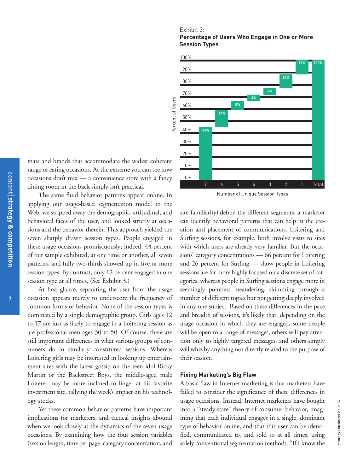### Exhibit 3:

### **Percentage of Users Who Engage in One or More Session Types**



mats and brands that accommodate the widest coherent range of eating occasions. At the extreme you can see how occasions don't mix — a convenience store with a fancy dining room in the back simply isn't practical.

The same fluid behavior patterns appear online. In applying our usage-based segmentation model to the Web, we stripped away the demographic, attitudinal, and behavioral faces of the user, and looked strictly at occasions and the behavior therein. This approach yielded the seven sharply drawn session types. People engaged in these usage occasions promiscuously; indeed, 44 percent of our sample exhibited, at one time or another, all seven patterns, and fully two-thirds showed up in five or more session types. By contrast, only 12 percent engaged in one session type at all times. (See Exhibit 3.)

At first glance, separating the user from the usage occasion appears merely to underscore the frequency of common forms of behavior. None of the session types is dominated by a single demographic group. Girls ages 12 to 17 are just as likely to engage in a Loitering session as are professional men ages 30 to 50. Of course, there are still important differences in what various groups of consumers do in similarly constituted sessions. Whereas Loitering girls may be interested in looking up entertainment sites with the latest gossip on the teen idol Ricky Martin or the Backstreet Boys, the middle-aged male Loiterer may be more inclined to linger at his favorite investment site, tallying the week's impact on his technology stocks.

Yet these common behavior patterns have important implications for marketers, and tactical insights abound when we look closely at the dynamics of the seven usage occasions. By examining how the four session variables (session length, time per page, category concentration, and

Number of Unique Session Types

site familiarity) define the different segments, a marketer can identify behavioral patterns that can help in the creation and placement of communications. Loitering and Surfing sessions, for example, both involve visits to sites with which users are already very familiar. But the occasions' category concentrations — 66 percent for Loitering and 26 percent for Surfing — show people in Loitering sessions are far more highly focused on a discrete set of categories, whereas people in Surfing sessions engage more in seemingly pointless meandering, skimming through a number of different topics but not getting deeply involved in any one subject. Based on these differences in the pace and breadth of sessions, it's likely that, depending on the usage occasion in which they are engaged, some people will be open to a range of messages, others will pay attention only to highly targeted messages, and others simply will whiz by anything not directly related to the purpose of their session.

### **Fixing Marketing's Big Flaw**

A basic flaw in Internet marketing is that marketers have failed to consider the significance of these differences in usage occasions. Instead, Internet marketers have bought into a "steady-state" theory of consumer behavior, imagining that each individual engages in a single, dominant type of behavior online, and that this user can be identified, communicated to, and sold to at all times, using solely conventional segmentation methods. "If I know the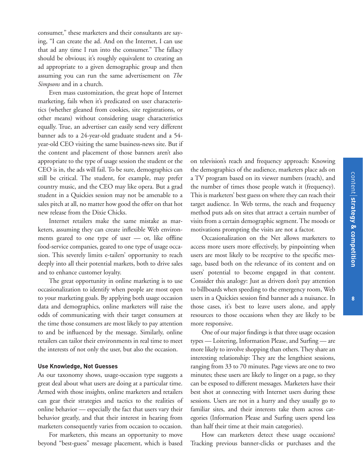consumer," these marketers and their consultants are saying, "I can create the ad. And on the Internet, I can use that ad any time I run into the consumer." The fallacy should be obvious; it's roughly equivalent to creating an ad appropriate to a given demographic group and then assuming you can run the same advertisement on *The Simpsons* and in a church.

Even mass customization, the great hope of Internet marketing, fails when it's predicated on user characteristics (whether gleaned from cookies, site registrations, or other means) without considering usage characteristics equally. True, an advertiser can easily send very different banner ads to a 24-year-old graduate student and a 54 year-old CEO visiting the same business-news site. But if the content and placement of those banners aren't also appropriate to the type of usage session the student or the CEO is in, the ads will fail. To be sure, demographics can still be critical. The student, for example, may prefer country music, and the CEO may like opera. But a grad student in a Quickies session may not be amenable to a sales pitch at all, no matter how good the offer on that hot new release from the Dixie Chicks.

Internet retailers make the same mistake as marketers, assuming they can create inflexible Web environments geared to one type of user — or, like offline food-service companies, geared to one type of usage occasion. This severely limits e-tailers' opportunity to reach deeply into all their potential markets, both to drive sales and to enhance customer loyalty.

The great opportunity in online marketing is to use occasionalization to identify when people are most open to your marketing goals. By applying both usage occasion data and demographics, online marketers will raise the odds of communicating with their target consumers at the time those consumers are most likely to pay attention to and be influenced by the message. Similarly, online retailers can tailor their environments in real time to meet the interests of not only the user, but also the occasion.

### **Use Knowledge, Not Guesses**

As our taxonomy shows, usage-occasion type suggests a great deal about what users are doing at a particular time. Armed with those insights, online marketers and retailers can gear their strategies and tactics to the realities of online behavior — especially the fact that users vary their behavior greatly, and that their interest in hearing from marketers consequently varies from occasion to occasion.

For marketers, this means an opportunity to move beyond "best-guess" message placement, which is based

on television's reach and frequency approach: Knowing the demographics of the audience, marketers place ads on a TV program based on its viewer numbers (reach), and the number of times those people watch it (frequency). This is marketers' best guess on where they can reach their target audience. In Web terms, the reach and frequency method puts ads on sites that attract a certain number of visits from a certain demographic segment. The moods or motivations prompting the visits are not a factor.

Occasionalization on the Net allows marketers to access more users more effectively, by pinpointing when users are most likely to be receptive to the specific message, based both on the relevance of its content and on users' potential to become engaged in that content. Consider this analogy: Just as drivers don't pay attention to billboards when speeding to the emergency room, Web users in a Quickies session find banner ads a nuisance. In those cases, it's best to leave users alone, and apply resources to those occasions when they are likely to be more responsive.

One of our major findings is that three usage occasion types — Loitering, Information Please, and Surfing — are more likely to involve shopping than others. They share an interesting relationship: They are the lengthiest sessions, ranging from 33 to 70 minutes. Page views are one to two minutes; these users are likely to linger on a page, so they can be exposed to different messages. Marketers have their best shot at connecting with Internet users during these sessions. Users are not in a hurry and they usually go to familiar sites, and their interests take them across categories (Information Please and Surfing users spend less than half their time at their main categories).

How can marketers detect these usage occasions? Tracking previous banner-clicks or purchases and the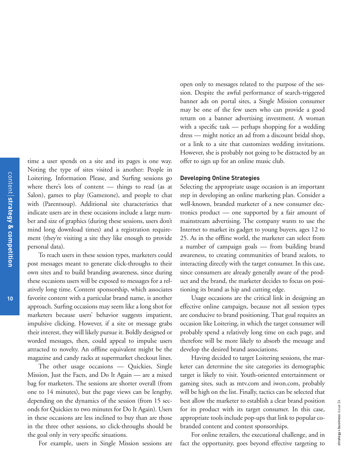**10**

time a user spends on a site and its pages is one way. Noting the type of sites visited is another: People in Loitering, Information Please, and Surfing sessions go where there's lots of content — things to read (as at Salon), games to play (Gamezone), and people to chat with (Parentsoup). Additional site characteristics that indicate users are in these occasions include a large number and size of graphics (during these sessions, users don't mind long download times) and a registration requirement (they're visiting a site they like enough to provide personal data).

To reach users in these session types, marketers could post messages meant to generate click-throughs to their own sites and to build branding awareness, since during these occasions users will be exposed to messages for a relatively long time. Content sponsorship, which associates favorite content with a particular brand name, is another approach. Surfing occasions may seem like a long shot for marketers because users' behavior suggests impatient, impulsive clicking. However, if a site or message grabs their interest, they will likely pursue it. Boldly designed or worded messages, then, could appeal to impulse users attracted to novelty. An offline equivalent might be the magazine and candy racks at supermarket checkout lines.

The other usage occasions — Quickies, Single Mission, Just the Facts, and Do It Again — are a mixed bag for marketers. The sessions are shorter overall (from one to 14 minutes), but the page views can be lengthy, depending on the dynamics of the session (from 15 seconds for Quickies to two minutes for Do It Again). Users in these occasions are less inclined to buy than are those in the three other sessions, so click-throughs should be the goal only in very specific situations.

For example, users in Single Mission sessions are

open only to messages related to the purpose of the session. Despite the awful performance of search-triggered banner ads on portal sites, a Single Mission consumer may be one of the few users who can provide a good return on a banner advertising investment. A woman with a specific task — perhaps shopping for a wedding dress — might notice an ad from a discount bridal shop, or a link to a site that customizes wedding invitations. However, she is probably not going to be distracted by an offer to sign up for an online music club.

### **Developing Online Strategies**

Selecting the appropriate usage occasion is an important step in developing an online marketing plan. Consider a well-known, branded marketer of a new consumer electronics product — one supported by a fair amount of mainstream advertising. The company wants to use the Internet to market its gadget to young buyers, ages 12 to 25. As in the offline world, the marketer can select from a number of campaign goals — from building brand awareness, to creating communities of brand zealots, to interacting directly with the target consumer. In this case, since consumers are already generally aware of the product and the brand, the marketer decides to focus on positioning its brand as hip and cutting edge.

Usage occasions are the critical link in designing an effective online campaign, because not all session types are conducive to brand positioning. That goal requires an occasion like Loitering, in which the target consumer will probably spend a relatively long time on each page, and therefore will be more likely to absorb the message and develop the desired brand associations.

Having decided to target Loitering sessions, the marketer can determine the site categories its demographic target is likely to visit. Youth-oriented entertainment or gaming sites, such as mtv.com and iwon.com, probably will be high on the list. Finally, tactics can be selected that best allow the marketer to establish a clear brand position for its product with its target consumer. In this case, appropriate tools include pop-ups that link to popular cobranded content and contest sponsorships.

For online retailers, the executional challenge, and in fact the opportunity, goes beyond effective targeting to